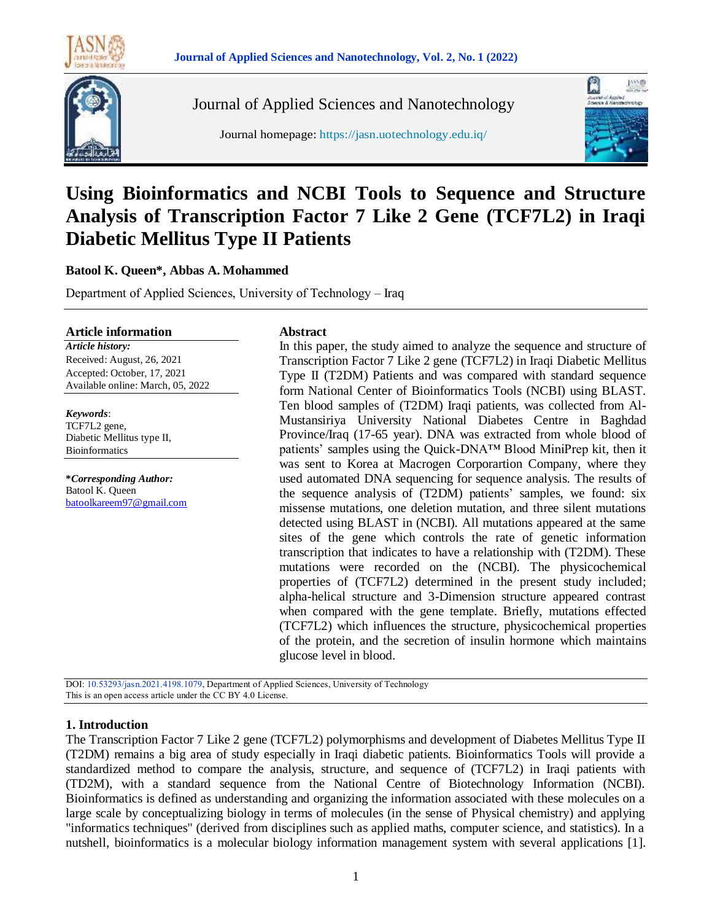

Journal of Applied Sciences and Nanotechnology

Journal homepage: https://jasn.uotechnology.edu.iq/



# **Using Bioinformatics and NCBI Tools to Sequence and Structure Analysis of Transcription Factor 7 Like 2 Gene (TCF7L2) in Iraqi Diabetic Mellitus Type II Patients**

#### **Batool K. Queen\*, Abbas A. Mohammed**

Department of Applied Sciences, University of Technology – Iraq

#### **Article information**

*Article history:* Received: August, 26, 2021 Accepted: October, 17, 2021 Available online: March, 05, 2022

*Keywords*: TCF7L2 gene, Diabetic Mellitus type II, Bioinformatics

**\****Corresponding Author:* Batool K. Queen [batoolkareem97@gmail.com](mailto:batoolkareem97@gmail.com)

#### **Abstract**

In this paper, the study aimed to analyze the sequence and structure of Transcription Factor 7 Like 2 gene (TCF7L2) in Iraqi Diabetic Mellitus Type II (T2DM) Patients and was compared with standard sequence form National Center of Bioinformatics Tools (NCBI) using BLAST. Ten blood samples of (T2DM) Iraqi patients, was collected from Al-Mustansiriya University National Diabetes Centre in Baghdad Province/Iraq (17-65 year). DNA was extracted from whole blood of patients' samples using the Quick-DNA™ Blood MiniPrep kit, then it was sent to Korea at Macrogen Corporartion Company, where they used automated DNA sequencing for sequence analysis. The results of the sequence analysis of (T2DM) patients' samples, we found: six missense mutations, one deletion mutation, and three silent mutations detected using BLAST in (NCBI). All mutations appeared at the same sites of the gene which controls the rate of genetic information transcription that indicates to have a relationship with (T2DM). These mutations were recorded on the (NCBI). The physicochemical properties of (TCF7L2) determined in the present study included; alpha-helical structure and 3-Dimension structure appeared contrast when compared with the gene template. Briefly, mutations effected (TCF7L2) which influences the structure, physicochemical properties of the protein, and the secretion of insulin hormone which maintains glucose level in blood.

DOI: 10.53293/jasn.2021.4198.1079, Department of Applied Sciences, University of Technology This is an open access article under the CC BY 4.0 License.

#### **1. Introduction**

The Transcription Factor 7 Like 2 gene (TCF7L2) polymorphisms and development of Diabetes Mellitus Type II (T2DM) remains a big area of study especially in Iraqi diabetic patients. Bioinformatics Tools will provide a standardized method to compare the analysis, structure, and sequence of (TCF7L2) in Iraqi patients with (TD2M), with a standard sequence from the National Centre of Biotechnology Information (NCBI). Bioinformatics is defined as understanding and organizing the information associated with these molecules on a large scale by conceptualizing biology in terms of molecules (in the sense of Physical chemistry) and applying "informatics techniques" (derived from disciplines such as applied maths, computer science, and statistics). In a nutshell, bioinformatics is a molecular biology information management system with several applications [1].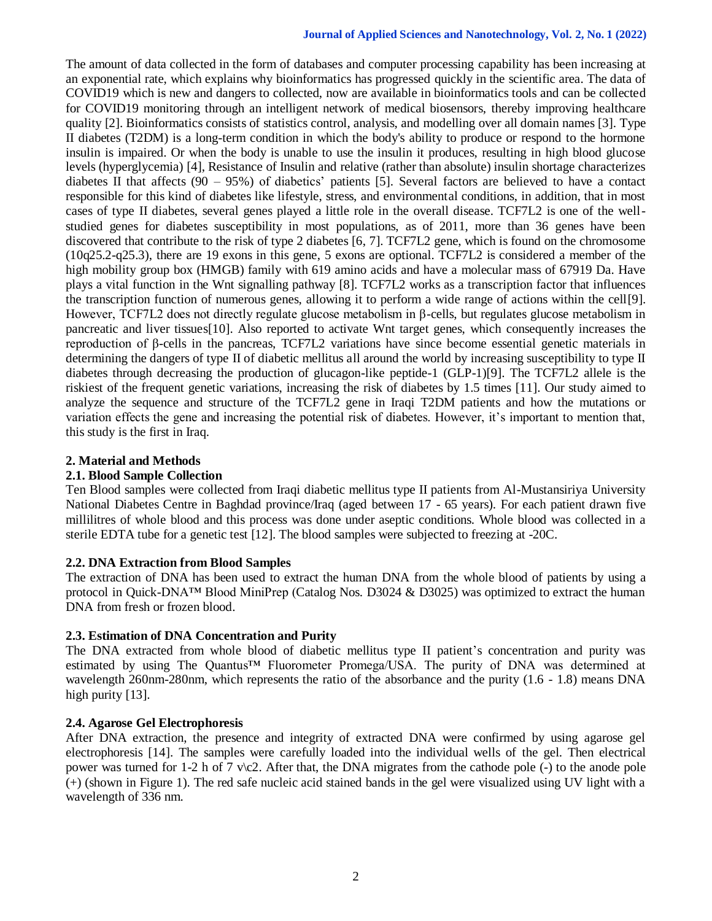#### **Journal of Applied Sciences and Nanotechnology, Vol. 2, No. 1 (2022)**

The amount of data collected in the form of databases and computer processing capability has been increasing at an exponential rate, which explains why bioinformatics has progressed quickly in the scientific area. The data of COVID19 which is new and dangers to collected, now are available in bioinformatics tools and can be collected for COVID19 monitoring through an intelligent network of medical biosensors, thereby improving healthcare quality [2]. Bioinformatics consists of statistics control, analysis, and modelling over all domain names [3]. Type II diabetes (T2DM) is a long-term condition in which the body's ability to produce or respond to the hormone insulin is impaired. Or when the body is unable to use the insulin it produces, resulting in high blood glucose levels (hyperglycemia) [4], Resistance of Insulin and relative (rather than absolute) insulin shortage characterizes diabetes II that affects  $(90 - 95%)$  of diabetics' patients [5]. Several factors are believed to have a contact responsible for this kind of diabetes like lifestyle, stress, and environmental conditions, in addition, that in most cases of type II diabetes, several genes played a little role in the overall disease. TCF7L2 is one of the wellstudied genes for diabetes susceptibility in most populations, as of 2011, more than 36 genes have been discovered that contribute to the risk of type 2 diabetes [6, 7]. TCF7L2 gene, which is found on the chromosome (10q25.2-q25.3), there are 19 exons in this gene, 5 exons are optional. TCF7L2 is considered a member of the high mobility group box (HMGB) family with 619 amino acids and have a molecular mass of 67919 Da. Have plays a vital function in the Wnt signalling pathway [8]. TCF7L2 works as a transcription factor that influences the transcription function of numerous genes, allowing it to perform a wide range of actions within the cell[9]. However, TCF7L2 does not directly regulate glucose metabolism in β-cells, but regulates glucose metabolism in pancreatic and liver tissues[10]. Also reported to activate Wnt target genes, which consequently increases the reproduction of β-cells in the pancreas, TCF7L2 variations have since become essential genetic materials in determining the dangers of type II of diabetic mellitus all around the world by increasing susceptibility to type II diabetes through decreasing the production of glucagon-like peptide-1 (GLP-1)[9]. The TCF7L2 allele is the riskiest of the frequent genetic variations, increasing the risk of diabetes by 1.5 times [11]. Our study aimed to analyze the sequence and structure of the TCF7L2 gene in Iraqi T2DM patients and how the mutations or variation effects the gene and increasing the potential risk of diabetes. However, it's important to mention that, this study is the first in Iraq.

## **2. Material and Methods**

## **2.1. Blood Sample Collection**

Ten Blood samples were collected from Iraqi diabetic mellitus type II patients from Al-Mustansiriya University National Diabetes Centre in Baghdad province/Iraq (aged between 17 - 65 years). For each patient drawn five millilitres of whole blood and this process was done under aseptic conditions. Whole blood was collected in a sterile EDTA tube for a genetic test [12]. The blood samples were subjected to freezing at -20C.

## **2.2. DNA Extraction from Blood Samples**

The extraction of DNA has been used to extract the human DNA from the whole blood of patients by using a protocol in Quick-DNA™ Blood MiniPrep (Catalog Nos. D3024 & D3025) was optimized to extract the human DNA from fresh or frozen blood.

## **2.3. Estimation of DNA Concentration and Purity**

The DNA extracted from whole blood of diabetic mellitus type II patient's concentration and purity was estimated by using The Quantus™ Fluorometer Promega/USA. The purity of DNA was determined at wavelength 260nm-280nm, which represents the ratio of the absorbance and the purity (1.6 - 1.8) means DNA high purity [13].

## **2.4. Agarose Gel Electrophoresis**

After DNA extraction, the presence and integrity of extracted DNA were confirmed by using agarose gel electrophoresis [14]. The samples were carefully loaded into the individual wells of the gel. Then electrical power was turned for 1-2 h of 7 v $\csc 2$ . After that, the DNA migrates from the cathode pole (-) to the anode pole (+) (shown in Figure 1). The red safe nucleic acid stained bands in the gel were visualized using UV light with a wavelength of 336 nm.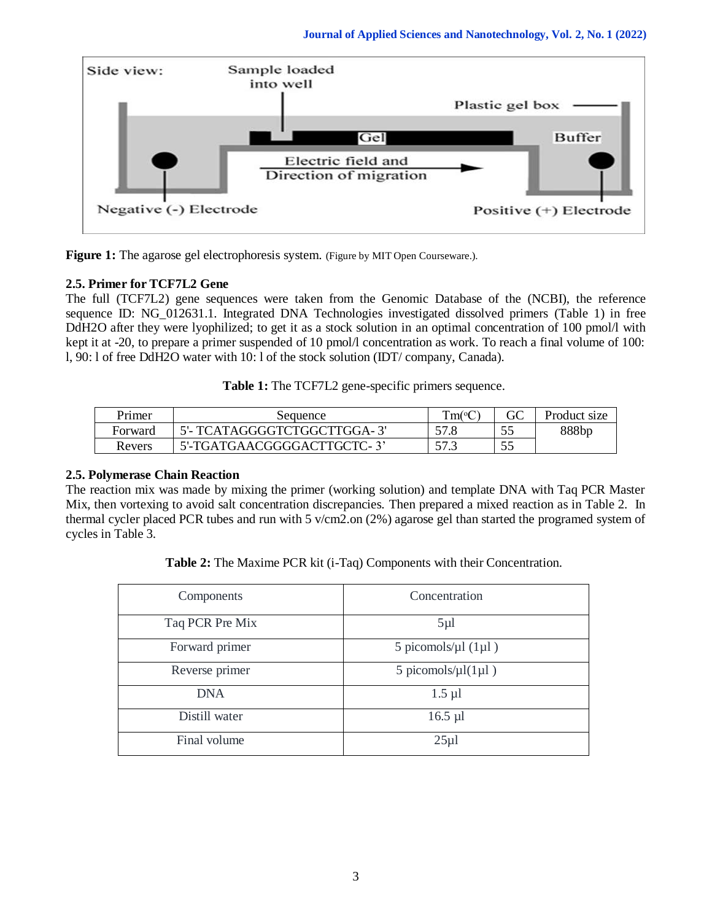

**Figure 1:** The agarose gel electrophoresis system. (Figure by MIT Open Courseware.).

# **2.5. Primer for TCF7L2 Gene**

The full (TCF7L2) gene sequences were taken from the Genomic Database of the (NCBI), the reference sequence ID: NG\_012631.1. Integrated DNA Technologies investigated dissolved primers (Table 1) in free DdH2O after they were lyophilized; to get it as a stock solution in an optimal concentration of 100 pmol/l with kept it at -20, to prepare a primer suspended of 10 pmol/l concentration as work. To reach a final volume of 100: l, 90: l of free DdH2O water with 10: l of the stock solution (IDT/ company, Canada).

**Table 1:** The TCF7L2 gene-specific primers sequence.

| Primer  | Sequence                     | $Tm$ ( ${}^{\circ}C$ |     | Product size      |
|---------|------------------------------|----------------------|-----|-------------------|
| Forward | 5'- TCATAGGGGTCTGGCTTGGA- 3' | 57.8                 |     | 888 <sub>br</sub> |
| Revers  | 5'-TGATGAACGGGGACTTGCTC-3'   | 572                  | ت ب |                   |

# **2.5. Polymerase Chain Reaction**

The reaction mix was made by mixing the primer (working solution) and template DNA with Taq PCR Master Mix, then vortexing to avoid salt concentration discrepancies. Then prepared a mixed reaction as in Table 2. In thermal cycler placed PCR tubes and run with 5 v/cm2.on (2%) agarose gel than started the programed system of cycles in Table 3.

**Table 2:** The Maxime PCR kit (i-Taq) Components with their Concentration.

| Components      | Concentration                     |  |  |
|-----------------|-----------------------------------|--|--|
| Taq PCR Pre Mix | $5\mu$ l                          |  |  |
| Forward primer  | 5 picomols/ $\mu$ l (1 $\mu$ l)   |  |  |
| Reverse primer  | 5 picomols/ $\mu$ l $(1\mu$ l $)$ |  |  |
| <b>DNA</b>      | $1.5 \mu l$                       |  |  |
| Distill water   | $16.5 \mu l$                      |  |  |
| Final volume    | $25\mu$ 1                         |  |  |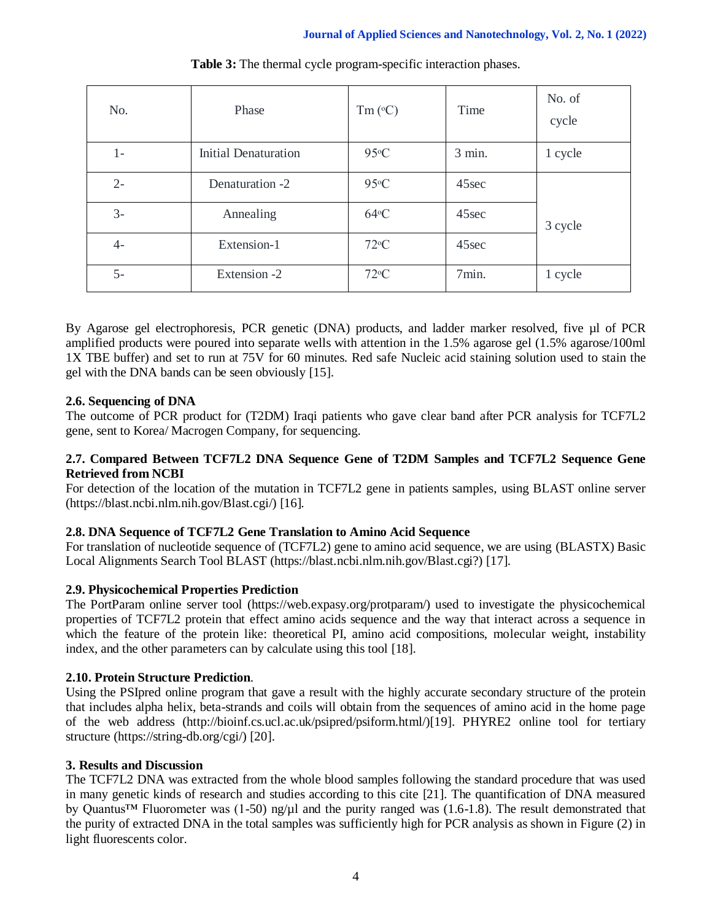| No.   | Phase                       | $Tm$ ( $^{\circ}$ C) | Time     | No. of<br>cycle |  |
|-------|-----------------------------|----------------------|----------|-----------------|--|
| $1 -$ | <b>Initial Denaturation</b> | $95^{\circ}$ C       | $3$ min. | 1 cycle         |  |
| $2 -$ | Denaturation -2             | $95^{\circ}$ C       | 45sec    |                 |  |
| $3-$  | Annealing                   | $64$ °C              | 45sec    | 3 cycle         |  |
| $4-$  | Extension-1                 | $72^{\circ}C$        | 45sec    |                 |  |
| $5-$  | Extension -2                | $72^{\circ}C$        | 7min.    | 1 cycle         |  |

**Table 3:** The thermal cycle program-specific interaction phases.

By Agarose gel electrophoresis, PCR genetic (DNA) products, and ladder marker resolved, five µl of PCR amplified products were poured into separate wells with attention in the 1.5% agarose gel (1.5% agarose/100ml 1X TBE buffer) and set to run at 75V for 60 minutes. Red safe Nucleic acid staining solution used to stain the gel with the DNA bands can be seen obviously [15].

# **2.6. Sequencing of DNA**

The outcome of PCR product for (T2DM) Iraqi patients who gave clear band after PCR analysis for TCF7L2 gene, sent to Korea/ Macrogen Company, for sequencing.

## **2.7. Compared Between TCF7L2 DNA Sequence Gene of T2DM Samples and TCF7L2 Sequence Gene Retrieved from NCBI**

For detection of the location of the mutation in TCF7L2 gene in patients samples, using BLAST online server (https://blast.ncbi.nlm.nih.gov/Blast.cgi/) [16].

## **2.8. DNA Sequence of TCF7L2 Gene Translation to Amino Acid Sequence**

For translation of nucleotide sequence of (TCF7L2) gene to amino acid sequence, we are using (BLASTX) Basic Local Alignments Search Tool BLAST (https://blast.ncbi.nlm.nih.gov/Blast.cgi?) [17].

## **2.9. Physicochemical Properties Prediction**

The PortParam online server tool (https://web.expasy.org/protparam/) used to investigate the physicochemical properties of TCF7L2 protein that effect amino acids sequence and the way that interact across a sequence in which the feature of the protein like: theoretical PI, amino acid compositions, molecular weight, instability index, and the other parameters can by calculate using this tool [18].

## **2.10. Protein Structure Prediction**.

Using the PSIpred online program that gave a result with the highly accurate secondary structure of the protein that includes alpha helix, beta-strands and coils will obtain from the sequences of amino acid in the home page of the web address (http://bioinf.cs.ucl.ac.uk/psipred/psiform.html/)[19]. PHYRE2 online tool for tertiary structure (https://string-db.org/cgi/) [20].

## **3. Results and Discussion**

The TCF7L2 DNA was extracted from the whole blood samples following the standard procedure that was used in many genetic kinds of research and studies according to this cite [21]. The quantification of DNA measured by Quantus<sup>™</sup> Fluorometer was (1-50) ng/ $\mu$ l and the purity ranged was (1.6-1.8). The result demonstrated that the purity of extracted DNA in the total samples was sufficiently high for PCR analysis as shown in Figure (2) in light fluorescents color.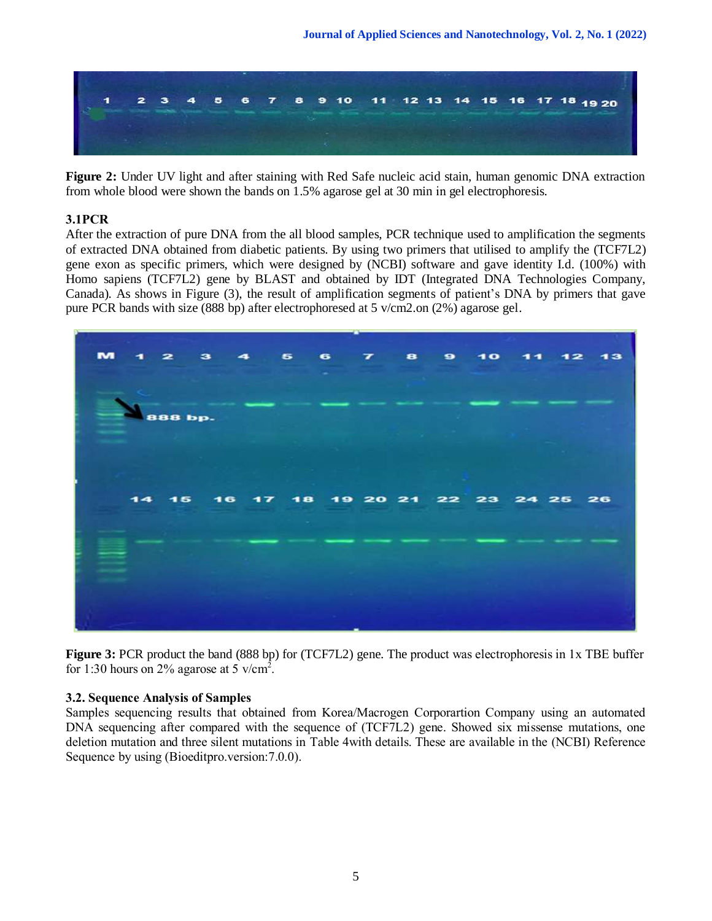

**Figure 2:** Under UV light and after staining with Red Safe nucleic acid stain, human genomic DNA extraction from whole blood were shown the bands on 1.5% agarose gel at 30 min in gel electrophoresis.

# **3.1PCR**

After the extraction of pure DNA from the all blood samples, PCR technique used to amplification the segments of extracted DNA obtained from diabetic patients. By using two primers that utilised to amplify the (TCF7L2) gene exon as specific primers, which were designed by (NCBI) software and gave identity I.d. (100%) with Homo sapiens (TCF7L2) gene by BLAST and obtained by IDT (Integrated DNA Technologies Company, Canada). As shows in Figure (3), the result of amplification segments of patient's DNA by primers that gave pure PCR bands with size (888 bp) after electrophoresed at 5 v/cm2.on (2%) agarose gel.



**Figure 3:** PCR product the band (888 bp) for (TCF7L2) gene. The product was electrophoresis in 1x TBE buffer for 1:30 hours on 2% agarose at 5 v/cm<sup>2</sup>.

# **3.2. Sequence Analysis of Samples**

Samples sequencing results that obtained from Korea/Macrogen Corporartion Company using an automated DNA sequencing after compared with the sequence of (TCF7L2) gene. Showed six missense mutations, one deletion mutation and three silent mutations in Table 4with details. These are available in the (NCBI) Reference Sequence by using (Bioeditpro.version:7.0.0).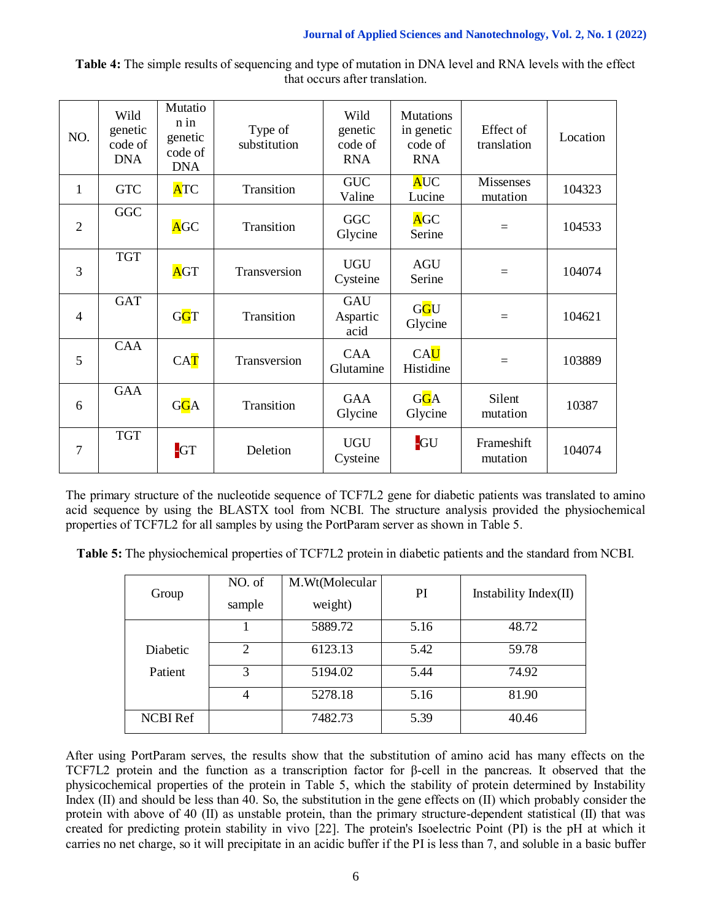| that occurs after translation. |                                          |                                                       |                         |                                          |                                                         |                          |          |
|--------------------------------|------------------------------------------|-------------------------------------------------------|-------------------------|------------------------------------------|---------------------------------------------------------|--------------------------|----------|
| NO.                            | Wild<br>genetic<br>code of<br><b>DNA</b> | Mutatio<br>$n$ in<br>genetic<br>code of<br><b>DNA</b> | Type of<br>substitution | Wild<br>genetic<br>code of<br><b>RNA</b> | <b>Mutations</b><br>in genetic<br>code of<br><b>RNA</b> | Effect of<br>translation | Location |
| 1                              | <b>GTC</b>                               | <b>ATC</b>                                            | Transition              | <b>GUC</b><br>Valine                     | <b>AUC</b><br>Lucine                                    | Missenses<br>mutation    | 104323   |
| $\overline{2}$                 | <b>GGC</b>                               | <b>AGC</b>                                            | Transition              | GGC<br>Glycine                           | <b>AGC</b><br>Serine                                    | $=$                      | 104533   |
| 3                              | <b>TGT</b>                               | <b>AGT</b>                                            | Transversion            | <b>UGU</b><br>Cysteine                   | <b>AGU</b><br>Serine                                    | $=$                      | 104074   |
| 4                              | <b>GAT</b>                               | GGT                                                   | Transition              | <b>GAU</b><br>Aspartic<br>acid           | GGU<br>Glycine                                          | $=$                      | 104621   |

 $CAT$  Transversion  $CAA$ 

 $G<sub>0</sub>A$  Transition GAA

-GT Deletion UGU

5

6

7

CAA

GAA

TGT

**Table 4:** The simple results of sequencing and type of mutation in DNA level and RNA levels with the effect that occurs after translation.

The primary structure of the nucleotide sequence of TCF7L2 gene for diabetic patients was translated to amino acid sequence by using the BLASTX tool from NCBI. The structure analysis provided the physiochemical properties of TCF7L2 for all samples by using the PortParam server as shown in Table 5.

Glutamine

Glycine

Cysteine

**CAU** 

G<sub>G</sub>A Glycine

 $\begin{array}{c|c}\n\hline\n\text{U} & \text{Hilb} \\
\hline\n\text{Histidine} & = & 103889\n\end{array}$ 

Silent

-GU Frameshift

mutation 10387

 $\frac{104074}{104074}$ 

**Table 5:** The physiochemical properties of TCF7L2 protein in diabetic patients and the standard from NCBI.

|                 | NO. of         | M.Wt(Molecular | PI   | Instability $Index(II)$ |  |
|-----------------|----------------|----------------|------|-------------------------|--|
| Group           | sample         | weight)        |      |                         |  |
|                 |                | 5889.72        | 5.16 | 48.72                   |  |
| Diabetic        | $\mathfrak{D}$ | 6123.13        | 5.42 | 59.78                   |  |
| Patient         | 3              | 5194.02        | 5.44 | 74.92                   |  |
|                 | 4              | 5278.18        | 5.16 | 81.90                   |  |
| <b>NCBI</b> Ref |                | 7482.73        | 5.39 | 40.46                   |  |

After using PortParam serves, the results show that the substitution of amino acid has many effects on the TCF7L2 protein and the function as a transcription factor for β-cell in the pancreas. It observed that the physicochemical properties of the protein in Table 5, which the stability of protein determined by Instability Index (II) and should be less than 40. So, the substitution in the gene effects on (II) which probably consider the protein with above of 40 (II) as unstable protein, than the primary structure-dependent statistical (II) that was created for predicting protein stability in vivo [22]. The protein's Isoelectric Point (PI) is the pH at which it carries no net charge, so it will precipitate in an acidic buffer if the PI is less than 7, and soluble in a basic buffer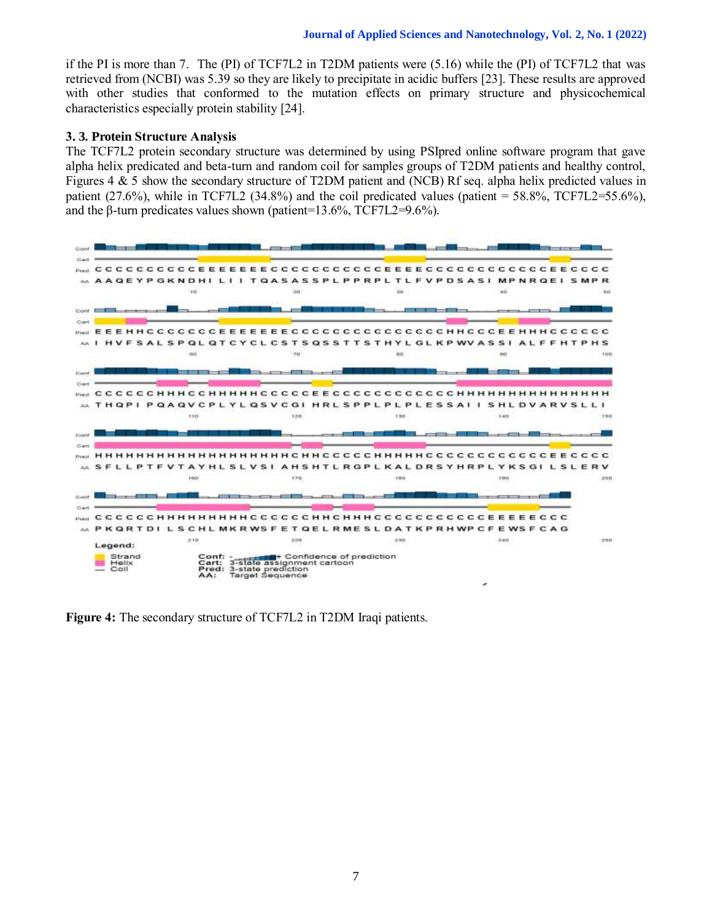if the PI is more than 7. The (PI) of TCF7L2 in T2DM patients were (5.16) while the (PI) of TCF7L2 that was retrieved from (NCBI) was 5.39 so they are likely to precipitate in acidic buffers [23]. These results are approved with other studies that conformed to the mutation effects on primary structure and physicochemical characteristics especially protein stability [24].

#### **3. 3. Protein Structure Analysis**

The TCF7L2 protein secondary structure was determined by using PSIpred online software program that gave alpha helix predicated and beta-turn and random coil for samples groups of T2DM patients and healthy control, Figures 4 & 5 show the secondary structure of T2DM patient and (NCB) Rf seq. alpha helix predicted values in patient (27.6%), while in TCF7L2 (34.8%) and the coil predicated values (patient = 58.8%, TCF7L2=55.6%), and the  $\beta$ -turn predicates values shown (patient=13.6%, TCF7L2=9.6%).



**Figure 4:** The secondary structure of TCF7L2 in T2DM Iraqi patients.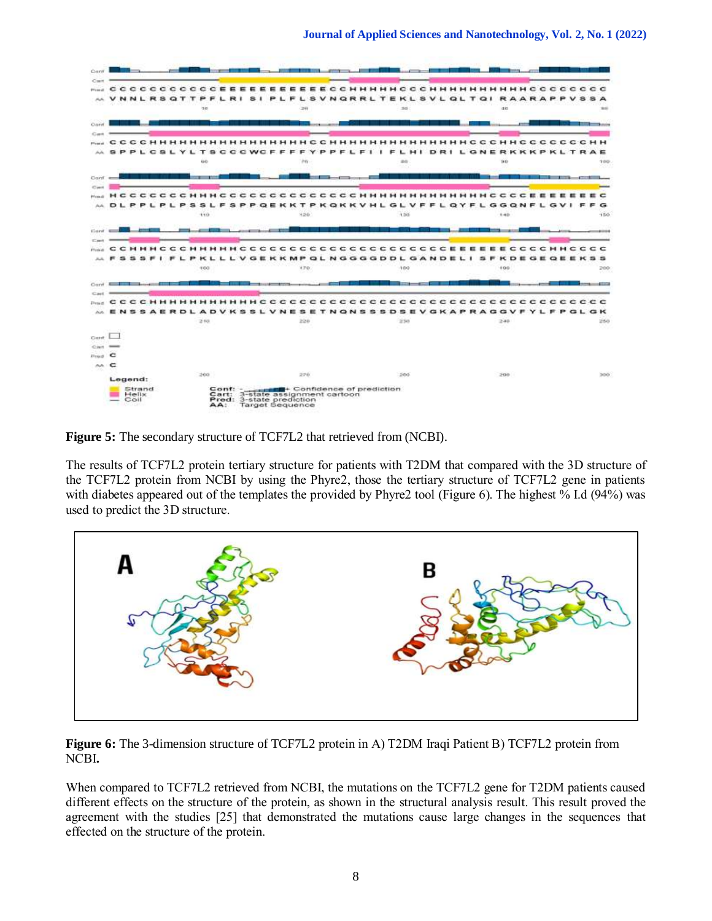

**Figure 5:** The secondary structure of TCF7L2 that retrieved from (NCBI).

The results of TCF7L2 protein tertiary structure for patients with T2DM that compared with the 3D structure of the TCF7L2 protein from NCBI by using the Phyre2, those the tertiary structure of TCF7L2 gene in patients with diabetes appeared out of the templates the provided by Phyre2 tool (Figure 6). The highest % I.d (94%) was used to predict the 3D structure.



**Figure 6:** The 3-dimension structure of TCF7L2 protein in A) T2DM Iraqi Patient B) TCF7L2 protein from NCBI**.**

When compared to TCF7L2 retrieved from NCBI, the mutations on the TCF7L2 gene for T2DM patients caused different effects on the structure of the protein, as shown in the structural analysis result. This result proved the agreement with the studies [25] that demonstrated the mutations cause large changes in the sequences that effected on the structure of the protein.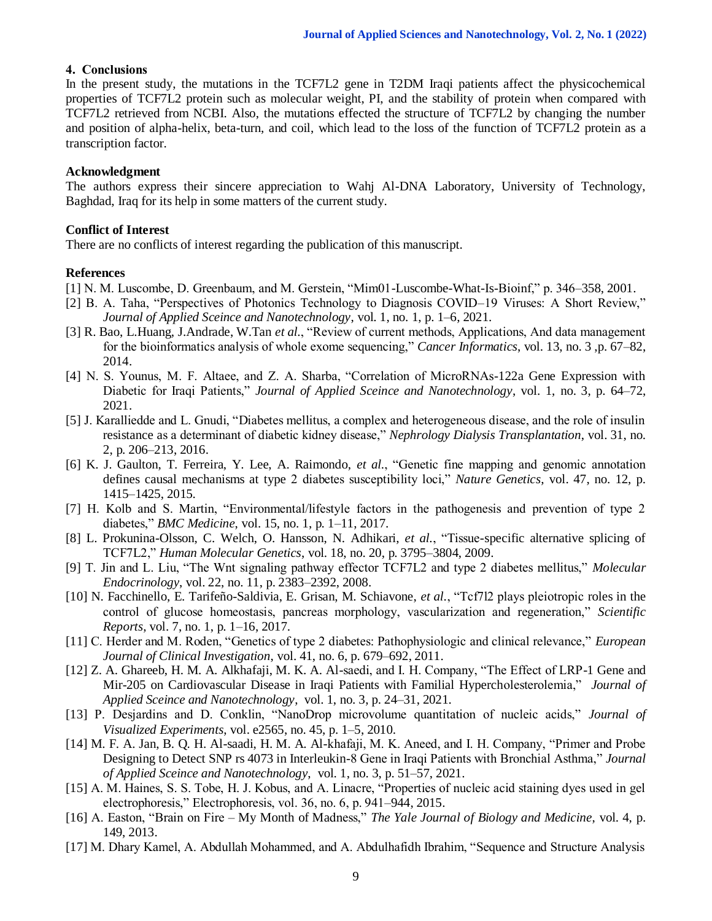#### **4. Conclusions**

In the present study, the mutations in the TCF7L2 gene in T2DM Iraqi patients affect the physicochemical properties of TCF7L2 protein such as molecular weight, PI, and the stability of protein when compared with TCF7L2 retrieved from NCBI. Also, the mutations effected the structure of TCF7L2 by changing the number and position of alpha-helix, beta-turn, and coil, which lead to the loss of the function of TCF7L2 protein as a transcription factor.

#### **Acknowledgment**

The authors express their sincere appreciation to Wahj Al-DNA Laboratory, University of Technology, Baghdad, Iraq for its help in some matters of the current study.

#### **Conflict of Interest**

There are no conflicts of interest regarding the publication of this manuscript.

#### **References**

- [1] N. M. Luscombe, D. Greenbaum, and M. Gerstein, "Mim01-Luscombe-What-Is-Bioinf," p. 346–358, 2001.
- [2] B. A. Taha, "Perspectives of Photonics Technology to Diagnosis COVID–19 Viruses: A Short Review," *Journal of Applied Sceince and Nanotechnology*, vol. 1, no. 1, p. 1–6, 2021.
- [3] R. Bao, L.Huang, J.Andrade, W.Tan *et al.*, "Review of current methods, Applications, And data management for the bioinformatics analysis of whole exome sequencing," *Cancer Informatics*, vol. 13, no. 3 ,p. 67–82, 2014.
- [4] N. S. Younus, M. F. Altaee, and Z. A. Sharba, "Correlation of MicroRNAs-122a Gene Expression with Diabetic for Iraqi Patients," *Journal of Applied Sceince and Nanotechnology*, vol. 1, no. 3, p. 64–72, 2021.
- [5] J. Karalliedde and L. Gnudi, "Diabetes mellitus, a complex and heterogeneous disease, and the role of insulin resistance as a determinant of diabetic kidney disease," *Nephrology Dialysis Transplantation*, vol. 31, no. 2, p. 206–213, 2016.
- [6] K. J. Gaulton, T. Ferreira, Y. Lee, A. Raimondo, *et al.*, "Genetic fine mapping and genomic annotation defines causal mechanisms at type 2 diabetes susceptibility loci," *Nature Genetics*, vol. 47, no. 12, p. 1415–1425, 2015.
- [7] H. Kolb and S. Martin, "Environmental/lifestyle factors in the pathogenesis and prevention of type 2 diabetes," *BMC Medicine*, vol. 15, no. 1, p. 1–11, 2017.
- [8] L. Prokunina-Olsson, C. Welch, O. Hansson, N. Adhikari, *et al.*, "Tissue-specific alternative splicing of TCF7L2," *Human Molecular Genetics*, vol. 18, no. 20, p. 3795–3804, 2009.
- [9] T. Jin and L. Liu, "The Wnt signaling pathway effector TCF7L2 and type 2 diabetes mellitus," *Molecular Endocrinology*, vol. 22, no. 11, p. 2383–2392, 2008.
- [10] N. Facchinello, E. Tarifeño-Saldivia, E. Grisan, M. Schiavone, *et al.*, "Tcf7l2 plays pleiotropic roles in the control of glucose homeostasis, pancreas morphology, vascularization and regeneration," *Scientific Reports*, vol. 7, no. 1, p. 1–16, 2017.
- [11] C. Herder and M. Roden, "Genetics of type 2 diabetes: Pathophysiologic and clinical relevance," *European Journal of Clinical Investigation*, vol. 41, no. 6, p. 679–692, 2011.
- [12] Z. A. Ghareeb, H. M. A. Alkhafaji, M. K. A. Al-saedi, and I. H. Company, "The Effect of LRP-1 Gene and Mir-205 on Cardiovascular Disease in Iraqi Patients with Familial Hypercholesterolemia," *Journal of Applied Sceince and Nanotechnology*, vol. 1, no. 3, p. 24–31, 2021.
- [13] P. Desjardins and D. Conklin, "NanoDrop microvolume quantitation of nucleic acids," *Journal of Visualized Experiments*, vol. e2565, no. 45, p. 1–5, 2010.
- [14] M. F. A. Jan, B. Q. H. Al-saadi, H. M. A. Al-khafaji, M. K. Aneed, and I. H. Company, "Primer and Probe Designing to Detect SNP rs 4073 in Interleukin-8 Gene in Iraqi Patients with Bronchial Asthma," *Journal of Applied Sceince and Nanotechnology*, vol. 1, no. 3, p. 51–57, 2021.
- [15] A. M. Haines, S. S. Tobe, H. J. Kobus, and A. Linacre, "Properties of nucleic acid staining dyes used in gel electrophoresis," Electrophoresis, vol. 36, no. 6, p. 941–944, 2015.
- [16] A. Easton, "Brain on Fire My Month of Madness," *The Yale Journal of Biology and Medicine*, vol. 4, p. 149, 2013.
- [17] M. Dhary Kamel, A. Abdullah Mohammed, and A. Abdulhafidh Ibrahim, "Sequence and Structure Analysis